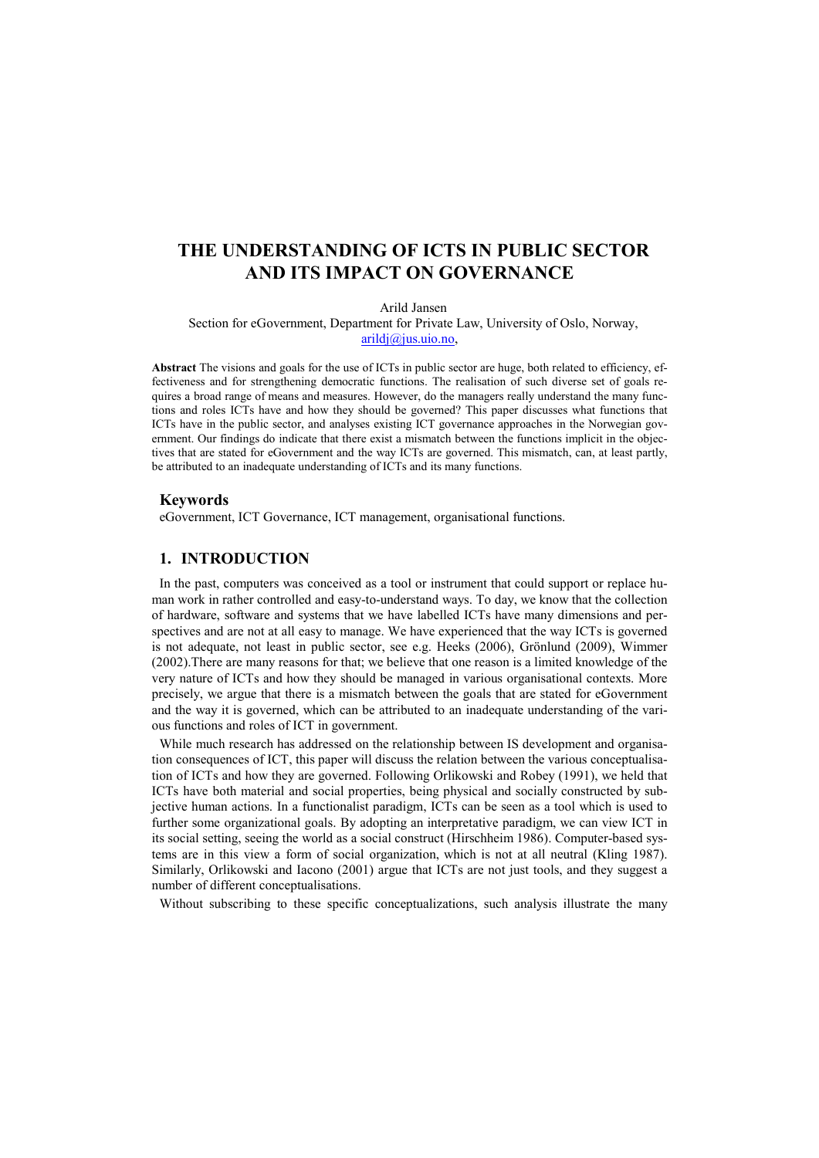# **THE UNDERSTANDING OF ICTS IN PUBLIC SECTOR AND ITS IMPACT ON GOVERNANCE**

Arild Jansen

Section for eGovernment, Department for Private Law, University of Oslo, Norway, arildj@jus.uio.no,

**Abstract** The visions and goals for the use of ICTs in public sector are huge, both related to efficiency, effectiveness and for strengthening democratic functions. The realisation of such diverse set of goals requires a broad range of means and measures. However, do the managers really understand the many functions and roles ICTs have and how they should be governed? This paper discusses what functions that ICTs have in the public sector, and analyses existing ICT governance approaches in the Norwegian government. Our findings do indicate that there exist a mismatch between the functions implicit in the objectives that are stated for eGovernment and the way ICTs are governed. This mismatch, can, at least partly, be attributed to an inadequate understanding of ICTs and its many functions.

## **Keywords**

eGovernment, ICT Governance, ICT management, organisational functions.

# **1. INTRODUCTION**

In the past, computers was conceived as a tool or instrument that could support or replace human work in rather controlled and easy-to-understand ways. To day, we know that the collection of hardware, software and systems that we have labelled ICTs have many dimensions and perspectives and are not at all easy to manage. We have experienced that the way ICTs is governed is not adequate, not least in public sector, see e.g. Heeks (2006), Grönlund (2009), Wimmer (2002).There are many reasons for that; we believe that one reason is a limited knowledge of the very nature of ICTs and how they should be managed in various organisational contexts. More precisely, we argue that there is a mismatch between the goals that are stated for eGovernment and the way it is governed, which can be attributed to an inadequate understanding of the various functions and roles of ICT in government.

While much research has addressed on the relationship between IS development and organisation consequences of ICT, this paper will discuss the relation between the various conceptualisation of ICTs and how they are governed. Following Orlikowski and Robey (1991), we held that ICTs have both material and social properties, being physical and socially constructed by subjective human actions. In a functionalist paradigm, ICTs can be seen as a tool which is used to further some organizational goals. By adopting an interpretative paradigm, we can view ICT in its social setting, seeing the world as a social construct (Hirschheim 1986). Computer-based systems are in this view a form of social organization, which is not at all neutral (Kling 1987). Similarly, Orlikowski and Iacono (2001) argue that ICTs are not just tools, and they suggest a number of different conceptualisations.

Without subscribing to these specific conceptualizations, such analysis illustrate the many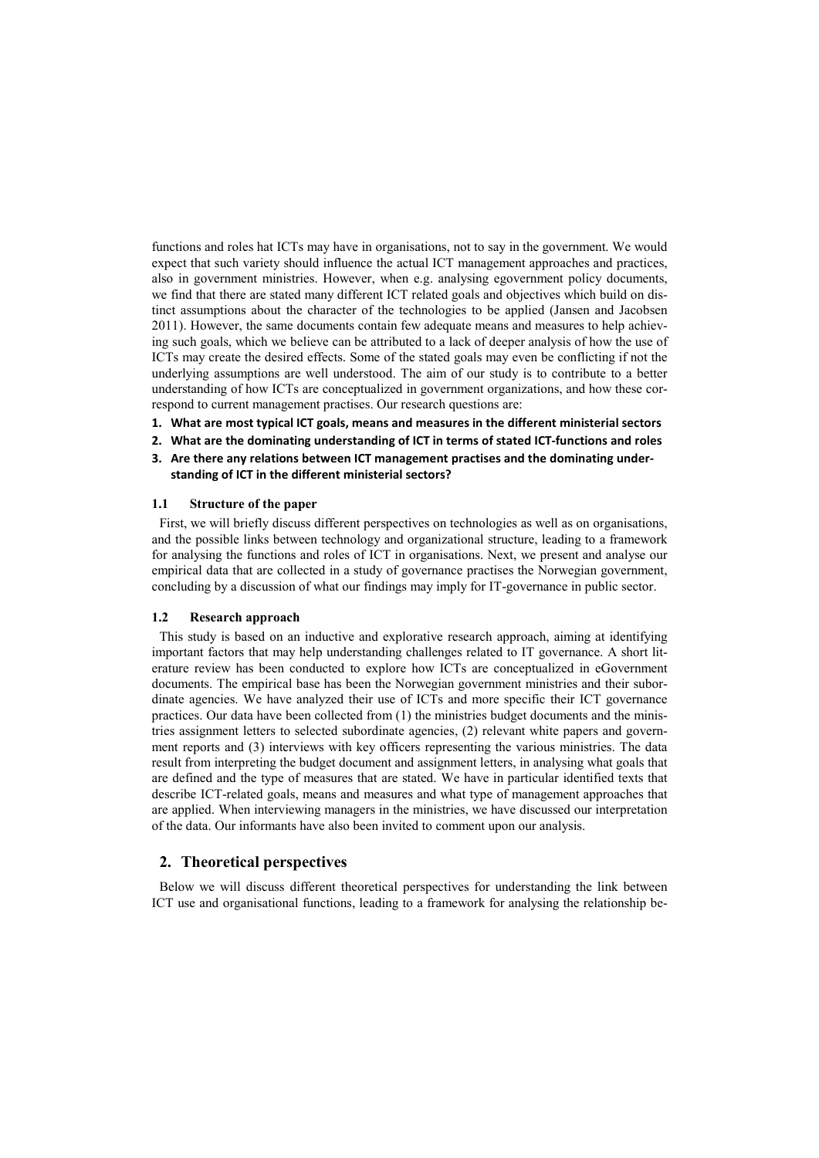functions and roles hat ICTs may have in organisations, not to say in the government. We would expect that such variety should influence the actual ICT management approaches and practices, also in government ministries. However, when e.g. analysing egovernment policy documents, we find that there are stated many different ICT related goals and objectives which build on distinct assumptions about the character of the technologies to be applied (Jansen and Jacobsen 2011). However, the same documents contain few adequate means and measures to help achieving such goals, which we believe can be attributed to a lack of deeper analysis of how the use of ICTs may create the desired effects. Some of the stated goals may even be conflicting if not the underlying assumptions are well understood. The aim of our study is to contribute to a better understanding of how ICTs are conceptualized in government organizations, and how these correspond to current management practises. Our research questions are:

- **1. What are most typical ICT goals, means and measures in the different ministerial sectors**
- **2. What are the dominating understanding of ICT in terms of stated ICT-functions and roles**
- **3. Are there any relations between ICT management practises and the dominating understanding of ICT in the different ministerial sectors?**

#### **1.1 Structure of the paper**

First, we will briefly discuss different perspectives on technologies as well as on organisations, and the possible links between technology and organizational structure, leading to a framework for analysing the functions and roles of ICT in organisations. Next, we present and analyse our empirical data that are collected in a study of governance practises the Norwegian government, concluding by a discussion of what our findings may imply for IT-governance in public sector.

#### **1.2 Research approach**

This study is based on an inductive and explorative research approach, aiming at identifying important factors that may help understanding challenges related to IT governance. A short literature review has been conducted to explore how ICTs are conceptualized in eGovernment documents. The empirical base has been the Norwegian government ministries and their subordinate agencies. We have analyzed their use of ICTs and more specific their ICT governance practices. Our data have been collected from (1) the ministries budget documents and the ministries assignment letters to selected subordinate agencies, (2) relevant white papers and government reports and (3) interviews with key officers representing the various ministries. The data result from interpreting the budget document and assignment letters, in analysing what goals that are defined and the type of measures that are stated. We have in particular identified texts that describe ICT-related goals, means and measures and what type of management approaches that are applied. When interviewing managers in the ministries, we have discussed our interpretation of the data. Our informants have also been invited to comment upon our analysis.

## **2. Theoretical perspectives**

Below we will discuss different theoretical perspectives for understanding the link between ICT use and organisational functions, leading to a framework for analysing the relationship be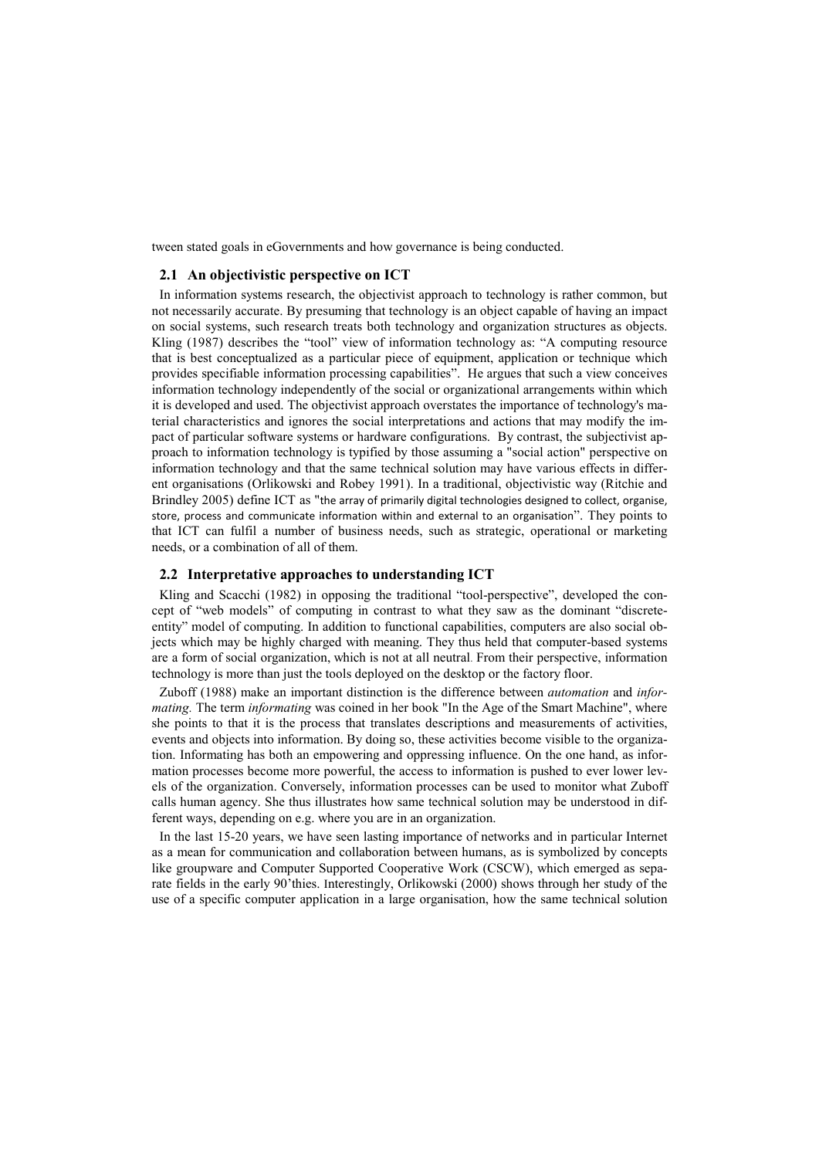tween stated goals in eGovernments and how governance is being conducted.

#### **2.1 An objectivistic perspective on ICT**

In information systems research, the objectivist approach to technology is rather common, but not necessarily accurate. By presuming that technology is an object capable of having an impact on social systems, such research treats both technology and organization structures as objects. Kling (1987) describes the "tool" view of information technology as: "A computing resource that is best conceptualized as a particular piece of equipment, application or technique which provides specifiable information processing capabilities". He argues that such a view conceives information technology independently of the social or organizational arrangements within which it is developed and used. The objectivist approach overstates the importance of technology's material characteristics and ignores the social interpretations and actions that may modify the impact of particular software systems or hardware configurations. By contrast, the subjectivist approach to information technology is typified by those assuming a "social action" perspective on information technology and that the same technical solution may have various effects in different organisations (Orlikowski and Robey 1991). In a traditional, objectivistic way (Ritchie and Brindley 2005) define ICT as "the array of primarily digital technologies designed to collect, organise, store, process and communicate information within and external to an organisation". They points to that ICT can fulfil a number of business needs, such as strategic, operational or marketing needs, or a combination of all of them.

#### **2.2 Interpretative approaches to understanding ICT**

Kling and Scacchi (1982) in opposing the traditional "tool-perspective", developed the concept of "web models" of computing in contrast to what they saw as the dominant "discreteentity" model of computing. In addition to functional capabilities, computers are also social objects which may be highly charged with meaning. They thus held that computer-based systems are a form of social organization, which is not at all neutral. From their perspective, information technology is more than just the tools deployed on the desktop or the factory floor.

Zuboff (1988) make an important distinction is the difference between *automation* and *informating.* The term *informating* was coined in her book "In the Age of the Smart Machine", where she points to that it is the process that translates descriptions and measurements of activities, events and objects into information. By doing so, these activities become visible to the organization. Informating has both an empowering and oppressing influence. On the one hand, as information processes become more powerful, the access to information is pushed to ever lower levels of the organization. Conversely, information processes can be used to monitor what Zuboff calls human agency. She thus illustrates how same technical solution may be understood in different ways, depending on e.g. where you are in an organization.

In the last 15-20 years, we have seen lasting importance of networks and in particular Internet as a mean for communication and collaboration between humans, as is symbolized by concepts like groupware and Computer Supported Cooperative Work (CSCW), which emerged as separate fields in the early 90'thies. Interestingly, Orlikowski (2000) shows through her study of the use of a specific computer application in a large organisation, how the same technical solution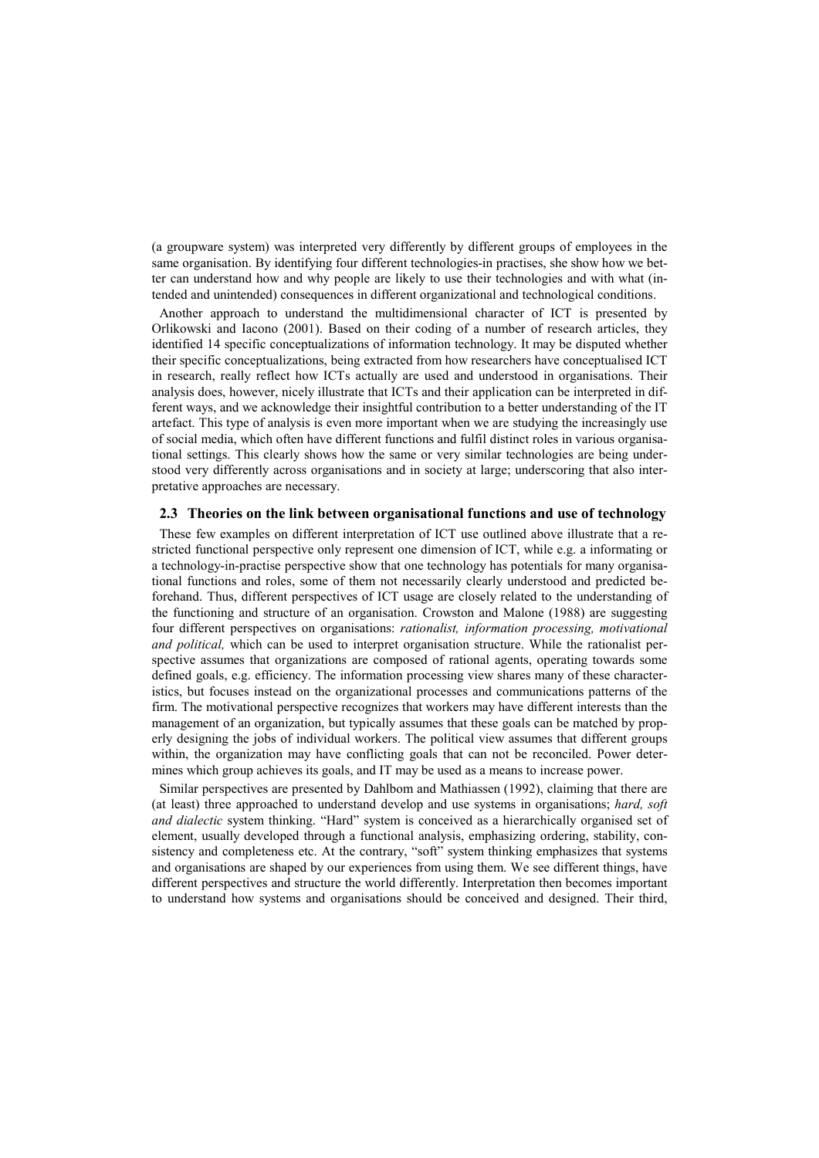(a groupware system) was interpreted very differently by different groups of employees in the same organisation. By identifying four different technologies-in practises, she show how we better can understand how and why people are likely to use their technologies and with what (intended and unintended) consequences in different organizational and technological conditions.

Another approach to understand the multidimensional character of ICT is presented by Orlikowski and Iacono (2001). Based on their coding of a number of research articles, they identified 14 specific conceptualizations of information technology. It may be disputed whether their specific conceptualizations, being extracted from how researchers have conceptualised ICT in research, really reflect how ICTs actually are used and understood in organisations. Their analysis does, however, nicely illustrate that ICTs and their application can be interpreted in different ways, and we acknowledge their insightful contribution to a better understanding of the IT artefact. This type of analysis is even more important when we are studying the increasingly use of social media, which often have different functions and fulfil distinct roles in various organisational settings. This clearly shows how the same or very similar technologies are being understood very differently across organisations and in society at large; underscoring that also interpretative approaches are necessary.

## **2.3 Theories on the link between organisational functions and use of technology**

These few examples on different interpretation of ICT use outlined above illustrate that a restricted functional perspective only represent one dimension of ICT, while e.g. a informating or a technology-in-practise perspective show that one technology has potentials for many organisational functions and roles, some of them not necessarily clearly understood and predicted beforehand. Thus, different perspectives of ICT usage are closely related to the understanding of the functioning and structure of an organisation. Crowston and Malone (1988) are suggesting four different perspectives on organisations: *rationalist, information processing, motivational and political,* which can be used to interpret organisation structure. While the rationalist perspective assumes that organizations are composed of rational agents, operating towards some defined goals, e.g. efficiency. The information processing view shares many of these characteristics, but focuses instead on the organizational processes and communications patterns of the firm. The motivational perspective recognizes that workers may have different interests than the management of an organization, but typically assumes that these goals can be matched by properly designing the jobs of individual workers. The political view assumes that different groups within, the organization may have conflicting goals that can not be reconciled. Power determines which group achieves its goals, and IT may be used as a means to increase power.

Similar perspectives are presented by Dahlbom and Mathiassen (1992), claiming that there are (at least) three approached to understand develop and use systems in organisations; *hard, soft and dialectic* system thinking. "Hard" system is conceived as a hierarchically organised set of element, usually developed through a functional analysis, emphasizing ordering, stability, consistency and completeness etc. At the contrary, "soft" system thinking emphasizes that systems and organisations are shaped by our experiences from using them. We see different things, have different perspectives and structure the world differently. Interpretation then becomes important to understand how systems and organisations should be conceived and designed. Their third,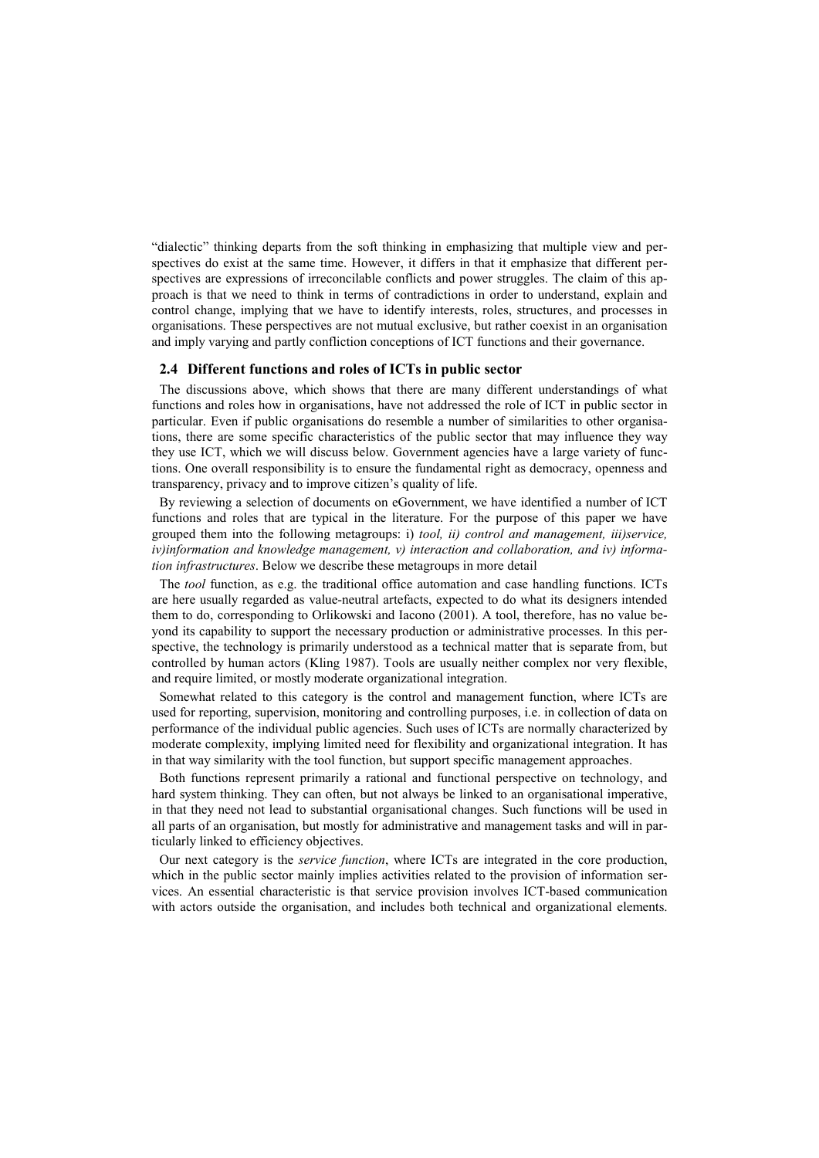"dialectic" thinking departs from the soft thinking in emphasizing that multiple view and perspectives do exist at the same time. However, it differs in that it emphasize that different perspectives are expressions of irreconcilable conflicts and power struggles. The claim of this approach is that we need to think in terms of contradictions in order to understand, explain and control change, implying that we have to identify interests, roles, structures, and processes in organisations. These perspectives are not mutual exclusive, but rather coexist in an organisation and imply varying and partly confliction conceptions of ICT functions and their governance.

## **2.4 Different functions and roles of ICTs in public sector**

The discussions above, which shows that there are many different understandings of what functions and roles how in organisations, have not addressed the role of ICT in public sector in particular. Even if public organisations do resemble a number of similarities to other organisations, there are some specific characteristics of the public sector that may influence they way they use ICT, which we will discuss below. Government agencies have a large variety of functions. One overall responsibility is to ensure the fundamental right as democracy, openness and transparency, privacy and to improve citizen's quality of life.

By reviewing a selection of documents on eGovernment, we have identified a number of ICT functions and roles that are typical in the literature. For the purpose of this paper we have grouped them into the following metagroups: i) *tool, ii) control and management, iii)service, iv)information and knowledge management, v) interaction and collaboration, and iv) information infrastructures*. Below we describe these metagroups in more detail

The *tool* function, as e.g. the traditional office automation and case handling functions. ICTs are here usually regarded as value-neutral artefacts, expected to do what its designers intended them to do, corresponding to Orlikowski and Iacono (2001). A tool, therefore, has no value beyond its capability to support the necessary production or administrative processes. In this perspective, the technology is primarily understood as a technical matter that is separate from, but controlled by human actors (Kling 1987). Tools are usually neither complex nor very flexible, and require limited, or mostly moderate organizational integration.

Somewhat related to this category is the control and management function, where ICTs are used for reporting, supervision, monitoring and controlling purposes, i.e. in collection of data on performance of the individual public agencies. Such uses of ICTs are normally characterized by moderate complexity, implying limited need for flexibility and organizational integration. It has in that way similarity with the tool function, but support specific management approaches.

Both functions represent primarily a rational and functional perspective on technology, and hard system thinking. They can often, but not always be linked to an organisational imperative, in that they need not lead to substantial organisational changes. Such functions will be used in all parts of an organisation, but mostly for administrative and management tasks and will in particularly linked to efficiency objectives.

Our next category is the *service function*, where ICTs are integrated in the core production, which in the public sector mainly implies activities related to the provision of information services. An essential characteristic is that service provision involves ICT-based communication with actors outside the organisation, and includes both technical and organizational elements.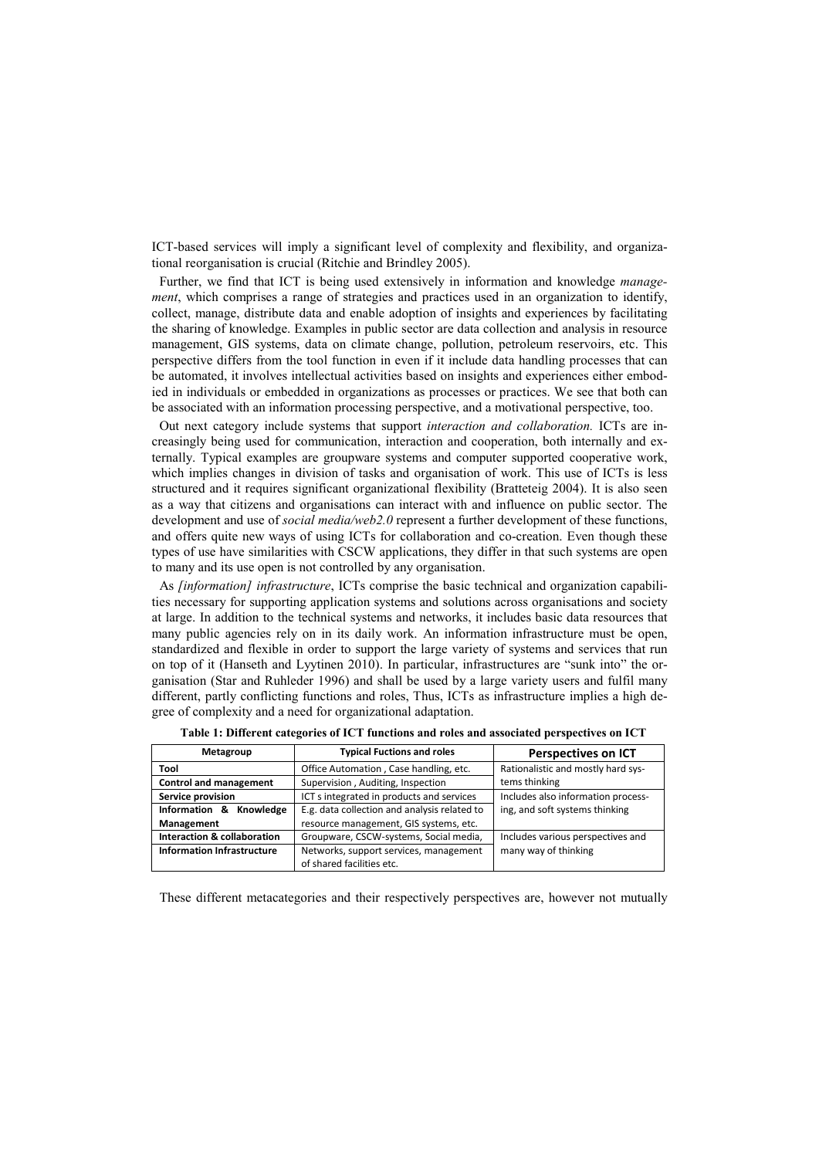ICT-based services will imply a significant level of complexity and flexibility, and organizational reorganisation is crucial (Ritchie and Brindley 2005).

Further, we find that ICT is being used extensively in information and knowledge *management*, which comprises a range of strategies and practices used in an organization to identify, collect, manage, distribute data and enable adoption of insights and experiences by facilitating the sharing of knowledge. Examples in public sector are data collection and analysis in resource management, GIS systems, data on climate change, pollution, petroleum reservoirs, etc. This perspective differs from the tool function in even if it include data handling processes that can be automated, it involves intellectual activities based on insights and experiences either embodied in individuals or embedded in organizations as processes or practices. We see that both can be associated with an information processing perspective, and a motivational perspective, too.

Out next category include systems that support *interaction and collaboration.* ICTs are increasingly being used for communication, interaction and cooperation, both internally and externally. Typical examples are groupware systems and computer supported cooperative work, which implies changes in division of tasks and organisation of work. This use of ICTs is less structured and it requires significant organizational flexibility (Bratteteig 2004). It is also seen as a way that citizens and organisations can interact with and influence on public sector. The development and use of *social media/web2.0* represent a further development of these functions, and offers quite new ways of using ICTs for collaboration and co-creation. Even though these types of use have similarities with CSCW applications, they differ in that such systems are open to many and its use open is not controlled by any organisation.

As *[information] infrastructure*, ICTs comprise the basic technical and organization capabilities necessary for supporting application systems and solutions across organisations and society at large. In addition to the technical systems and networks, it includes basic data resources that many public agencies rely on in its daily work. An information infrastructure must be open, standardized and flexible in order to support the large variety of systems and services that run on top of it (Hanseth and Lyytinen 2010). In particular, infrastructures are "sunk into" the organisation (Star and Ruhleder 1996) and shall be used by a large variety users and fulfil many different, partly conflicting functions and roles, Thus, ICTs as infrastructure implies a high degree of complexity and a need for organizational adaptation.

| Metagroup                         | <b>Typical Fuctions and roles</b>            | <b>Perspectives on ICT</b>         |  |  |  |
|-----------------------------------|----------------------------------------------|------------------------------------|--|--|--|
| Tool                              | Office Automation, Case handling, etc.       | Rationalistic and mostly hard sys- |  |  |  |
| <b>Control and management</b>     | Supervision, Auditing, Inspection            | tems thinking                      |  |  |  |
| Service provision                 | ICT s integrated in products and services    | Includes also information process- |  |  |  |
| Information &<br>Knowledge        | E.g. data collection and analysis related to | ing, and soft systems thinking     |  |  |  |
| Management                        | resource management, GIS systems, etc.       |                                    |  |  |  |
| Interaction & collaboration       | Groupware, CSCW-systems, Social media,       | Includes various perspectives and  |  |  |  |
| <b>Information Infrastructure</b> | Networks, support services, management       | many way of thinking               |  |  |  |
|                                   | of shared facilities etc.                    |                                    |  |  |  |

**Table 1: Different categories of ICT functions and roles and associated perspectives on ICT** 

These different metacategories and their respectively perspectives are, however not mutually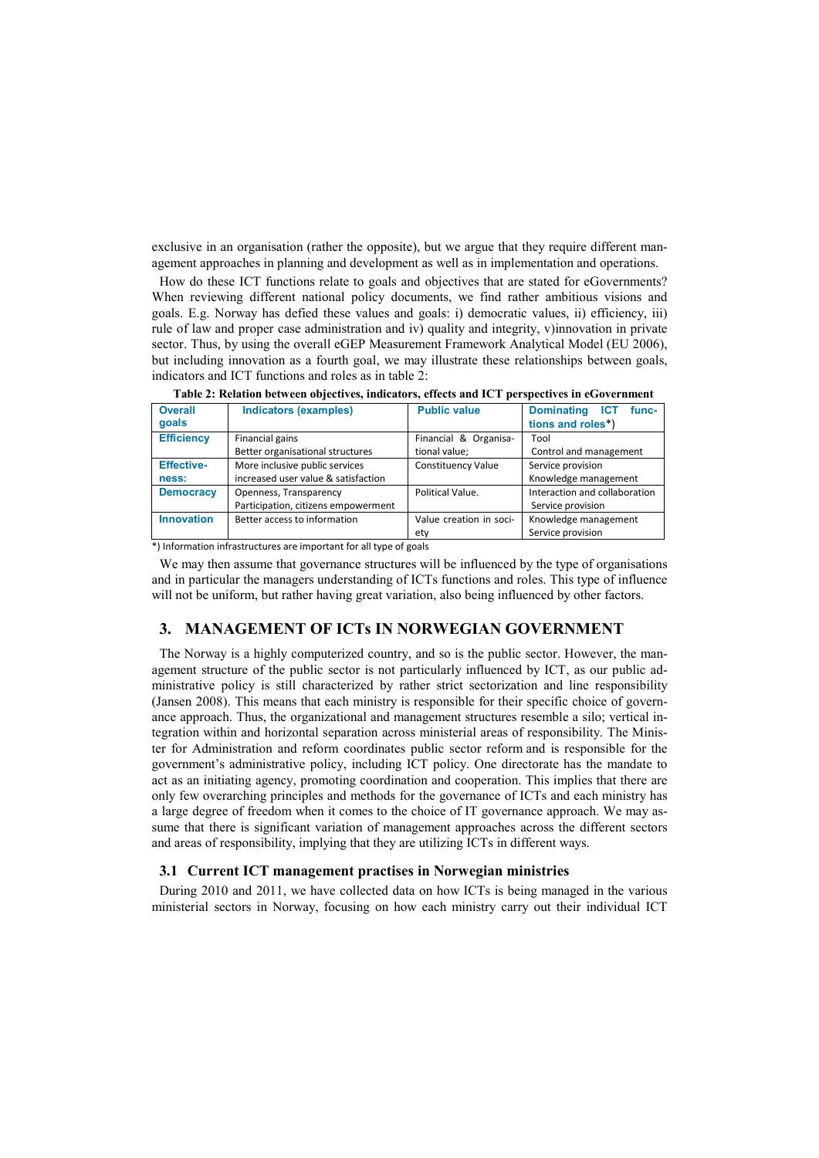exclusive in an organisation (rather the opposite), but we argue that they require different management approaches in planning and development as well as in implementation and operations.

How do these ICT functions relate to goals and objectives that are stated for eGovernments? When reviewing different national policy documents, we find rather ambitious visions and goals. E.g. Norway has defied these values and goals: i) democratic values, ii) efficiency, iii) rule of law and proper case administration and iv) quality and integrity, v)innovation in private sector. Thus, by using the overall eGEP Measurement Framework Analytical Model (EU 2006), but including innovation as a fourth goal, we may illustrate these relationships between goals, indicators and ICT functions and roles as in table 2:

| <b>Overall</b>                                      | <b>Indicators (examples)</b>        | <b>Public value</b>       | <b>Dominating ICT</b><br>func- |  |  |  |
|-----------------------------------------------------|-------------------------------------|---------------------------|--------------------------------|--|--|--|
| goals                                               |                                     |                           | tions and roles*)              |  |  |  |
| <b>Efficiency</b>                                   | Financial gains                     | Financial & Organisa-     | Tool                           |  |  |  |
|                                                     | Better organisational structures    | tional value;             | Control and management         |  |  |  |
| <b>Effective-</b><br>More inclusive public services |                                     | <b>Constituency Value</b> | Service provision              |  |  |  |
| ness:                                               | increased user value & satisfaction |                           | Knowledge management           |  |  |  |
| <b>Democracy</b><br>Openness, Transparency          |                                     | Political Value.          | Interaction and collaboration  |  |  |  |
| Participation, citizens empowerment                 |                                     |                           | Service provision              |  |  |  |
| <b>Innovation</b><br>Better access to information   |                                     | Value creation in soci-   | Knowledge management           |  |  |  |
|                                                     |                                     | ety                       | Service provision              |  |  |  |

**Table 2: Relation between objectives, indicators, effects and ICT perspectives in eGovernment** 

\*) Information infrastructures are important for all type of goals

We may then assume that governance structures will be influenced by the type of organisations and in particular the managers understanding of ICTs functions and roles. This type of influence will not be uniform, but rather having great variation, also being influenced by other factors.

# **3. MANAGEMENT OF ICTs IN NORWEGIAN GOVERNMENT**

The Norway is a highly computerized country, and so is the public sector. However, the management structure of the public sector is not particularly influenced by ICT, as our public administrative policy is still characterized by rather strict sectorization and line responsibility (Jansen 2008). This means that each ministry is responsible for their specific choice of governance approach. Thus, the organizational and management structures resemble a silo; vertical integration within and horizontal separation across ministerial areas of responsibility. The Minister for Administration and reform coordinates public sector reform and is responsible for the government's administrative policy, including ICT policy. One directorate has the mandate to act as an initiating agency, promoting coordination and cooperation. This implies that there are only few overarching principles and methods for the governance of ICTs and each ministry has a large degree of freedom when it comes to the choice of IT governance approach. We may assume that there is significant variation of management approaches across the different sectors and areas of responsibility, implying that they are utilizing ICTs in different ways.

## **3.1 Current ICT management practises in Norwegian ministries**

During 2010 and 2011, we have collected data on how ICTs is being managed in the various ministerial sectors in Norway, focusing on how each ministry carry out their individual ICT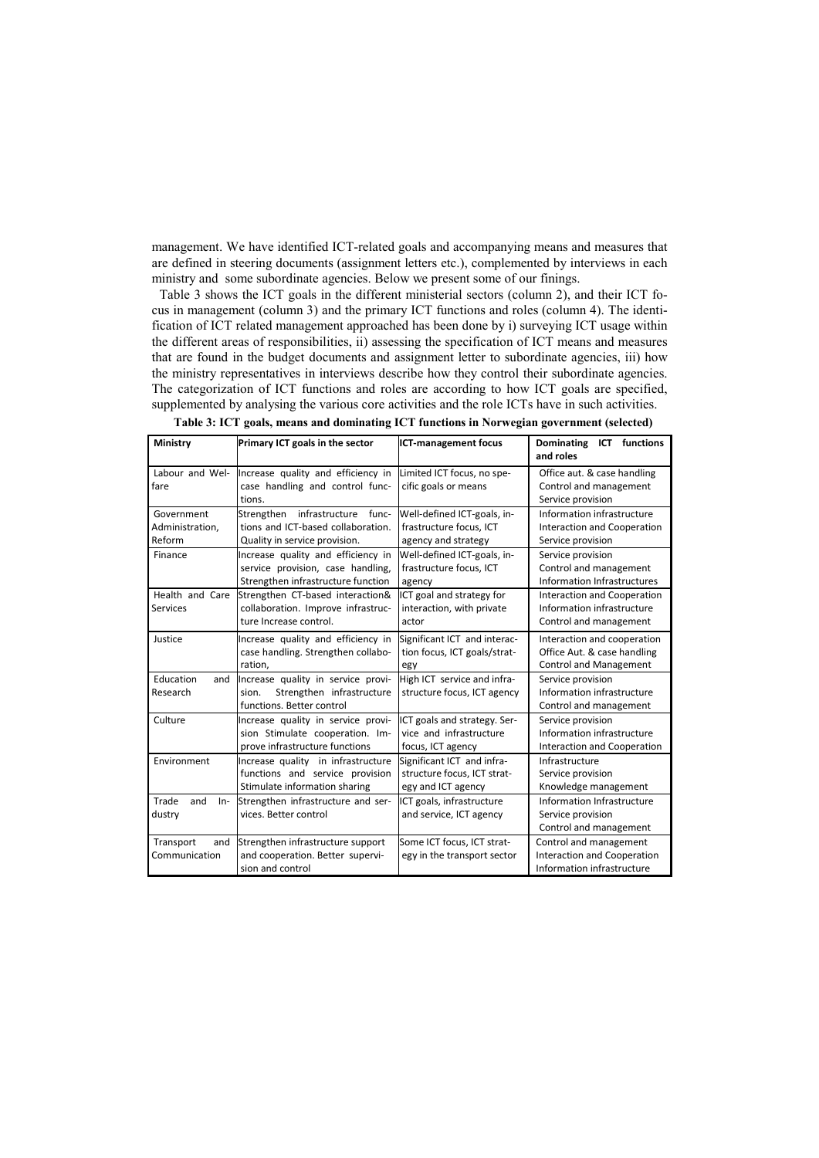management. We have identified ICT-related goals and accompanying means and measures that are defined in steering documents (assignment letters etc.), complemented by interviews in each ministry and some subordinate agencies. Below we present some of our finings.

Table 3 shows the ICT goals in the different ministerial sectors (column 2), and their ICT focus in management (column 3) and the primary ICT functions and roles (column 4). The identification of ICT related management approached has been done by i) surveying ICT usage within the different areas of responsibilities, ii) assessing the specification of ICT means and measures that are found in the budget documents and assignment letter to subordinate agencies, iii) how the ministry representatives in interviews describe how they control their subordinate agencies. The categorization of ICT functions and roles are according to how ICT goals are specified, supplemented by analysing the various core activities and the role ICTs have in such activities.

| Ministry                                | Primary ICT goals in the sector                                                                               | ICT-management focus                                                            | Dominating ICT functions<br>and roles                                                      |  |  |  |  |  |  |
|-----------------------------------------|---------------------------------------------------------------------------------------------------------------|---------------------------------------------------------------------------------|--------------------------------------------------------------------------------------------|--|--|--|--|--|--|
| Labour and Wel-<br>fare                 | Increase quality and efficiency in<br>case handling and control func-<br>tions.                               | Limited ICT focus, no spe-<br>cific goals or means                              | Office aut. & case handling<br>Control and management<br>Service provision                 |  |  |  |  |  |  |
| Government<br>Administration,<br>Reform | Strengthen infrastructure func-<br>tions and ICT-based collaboration.<br>Quality in service provision.        | Well-defined ICT-goals, in-<br>frastructure focus, ICT<br>agency and strategy   | Information infrastructure<br>Interaction and Cooperation<br>Service provision             |  |  |  |  |  |  |
| Finance                                 | Increase quality and efficiency in<br>service provision, case handling,<br>Strengthen infrastructure function | Well-defined ICT-goals, in-<br>frastructure focus, ICT<br>agency                | Service provision<br>Control and management<br>Information Infrastructures                 |  |  |  |  |  |  |
| Health and Care<br><b>Services</b>      | Strengthen CT-based interaction&<br>collaboration. Improve infrastruc-<br>ture Increase control.              | ICT goal and strategy for<br>interaction, with private<br>actor                 | <b>Interaction and Cooperation</b><br>Information infrastructure<br>Control and management |  |  |  |  |  |  |
| Justice                                 | Increase quality and efficiency in<br>case handling. Strengthen collabo-<br>ration,                           | Significant ICT and interac-<br>tion focus, ICT goals/strat-<br>egy             | Interaction and cooperation<br>Office Aut. & case handling<br>Control and Management       |  |  |  |  |  |  |
| Education<br>and<br>Research            | Increase quality in service provi-<br>Strengthen infrastructure<br>sion.<br>functions. Better control         | High ICT service and infra-<br>structure focus, ICT agency                      | Service provision<br>Information infrastructure<br>Control and management                  |  |  |  |  |  |  |
| Culture                                 | Increase quality in service provi-<br>sion Stimulate cooperation. Im-<br>prove infrastructure functions       | ICT goals and strategy. Ser-<br>vice and infrastructure<br>focus, ICT agency    | Service provision<br>Information infrastructure<br>Interaction and Cooperation             |  |  |  |  |  |  |
| Environment                             | Increase quality in infrastructure<br>functions and service provision<br>Stimulate information sharing        | Significant ICT and infra-<br>structure focus, ICT strat-<br>egy and ICT agency | Infrastructure<br>Service provision<br>Knowledge management                                |  |  |  |  |  |  |
| Trade<br>and<br>$In-$<br>dustry         | Strengthen infrastructure and ser-<br>vices. Better control                                                   | ICT goals, infrastructure<br>and service, ICT agency                            | Information Infrastructure<br>Service provision<br>Control and management                  |  |  |  |  |  |  |
| Transport<br>and<br>Communication       | Strengthen infrastructure support<br>and cooperation. Better supervi-<br>sion and control                     | Some ICT focus, ICT strat-<br>egy in the transport sector                       | Control and management<br>Interaction and Cooperation<br>Information infrastructure        |  |  |  |  |  |  |

**Table 3: ICT goals, means and dominating ICT functions in Norwegian government (selected)**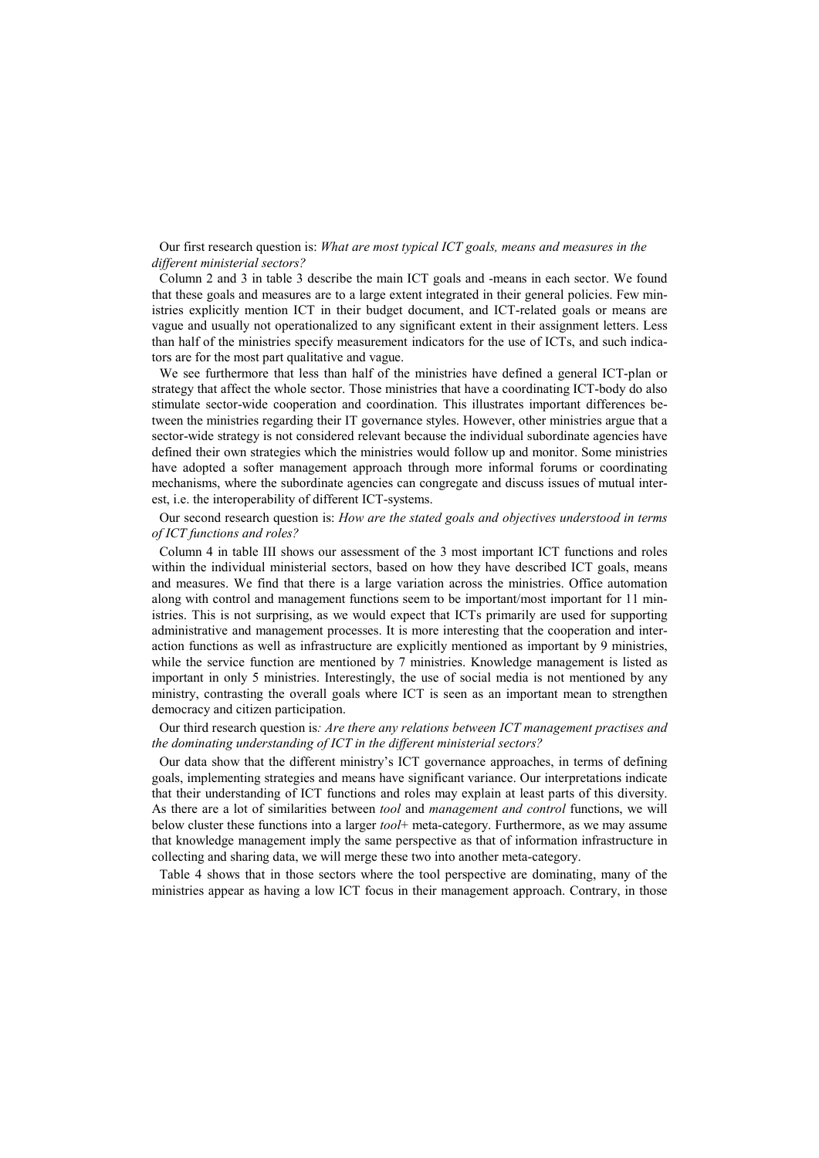Our first research question is: *What are most typical ICT goals, means and measures in the different ministerial sectors?* 

Column 2 and 3 in table 3 describe the main ICT goals and -means in each sector. We found that these goals and measures are to a large extent integrated in their general policies. Few ministries explicitly mention ICT in their budget document, and ICT-related goals or means are vague and usually not operationalized to any significant extent in their assignment letters. Less than half of the ministries specify measurement indicators for the use of ICTs, and such indicators are for the most part qualitative and vague.

We see furthermore that less than half of the ministries have defined a general ICT-plan or strategy that affect the whole sector. Those ministries that have a coordinating ICT-body do also stimulate sector-wide cooperation and coordination. This illustrates important differences between the ministries regarding their IT governance styles. However, other ministries argue that a sector-wide strategy is not considered relevant because the individual subordinate agencies have defined their own strategies which the ministries would follow up and monitor. Some ministries have adopted a softer management approach through more informal forums or coordinating mechanisms, where the subordinate agencies can congregate and discuss issues of mutual interest, i.e. the interoperability of different ICT-systems.

Our second research question is: *How are the stated goals and objectives understood in terms of ICT functions and roles?* 

Column 4 in table III shows our assessment of the 3 most important ICT functions and roles within the individual ministerial sectors, based on how they have described ICT goals, means and measures. We find that there is a large variation across the ministries. Office automation along with control and management functions seem to be important/most important for 11 ministries. This is not surprising, as we would expect that ICTs primarily are used for supporting administrative and management processes. It is more interesting that the cooperation and interaction functions as well as infrastructure are explicitly mentioned as important by 9 ministries, while the service function are mentioned by 7 ministries. Knowledge management is listed as important in only 5 ministries. Interestingly, the use of social media is not mentioned by any ministry, contrasting the overall goals where ICT is seen as an important mean to strengthen democracy and citizen participation.

## Our third research question is*: Are there any relations between ICT management practises and the dominating understanding of ICT in the different ministerial sectors?*

Our data show that the different ministry's ICT governance approaches, in terms of defining goals, implementing strategies and means have significant variance. Our interpretations indicate that their understanding of ICT functions and roles may explain at least parts of this diversity. As there are a lot of similarities between *tool* and *management and control* functions, we will below cluster these functions into a larger *tool*+ meta-category. Furthermore, as we may assume that knowledge management imply the same perspective as that of information infrastructure in collecting and sharing data, we will merge these two into another meta-category.

Table 4 shows that in those sectors where the tool perspective are dominating, many of the ministries appear as having a low ICT focus in their management approach. Contrary, in those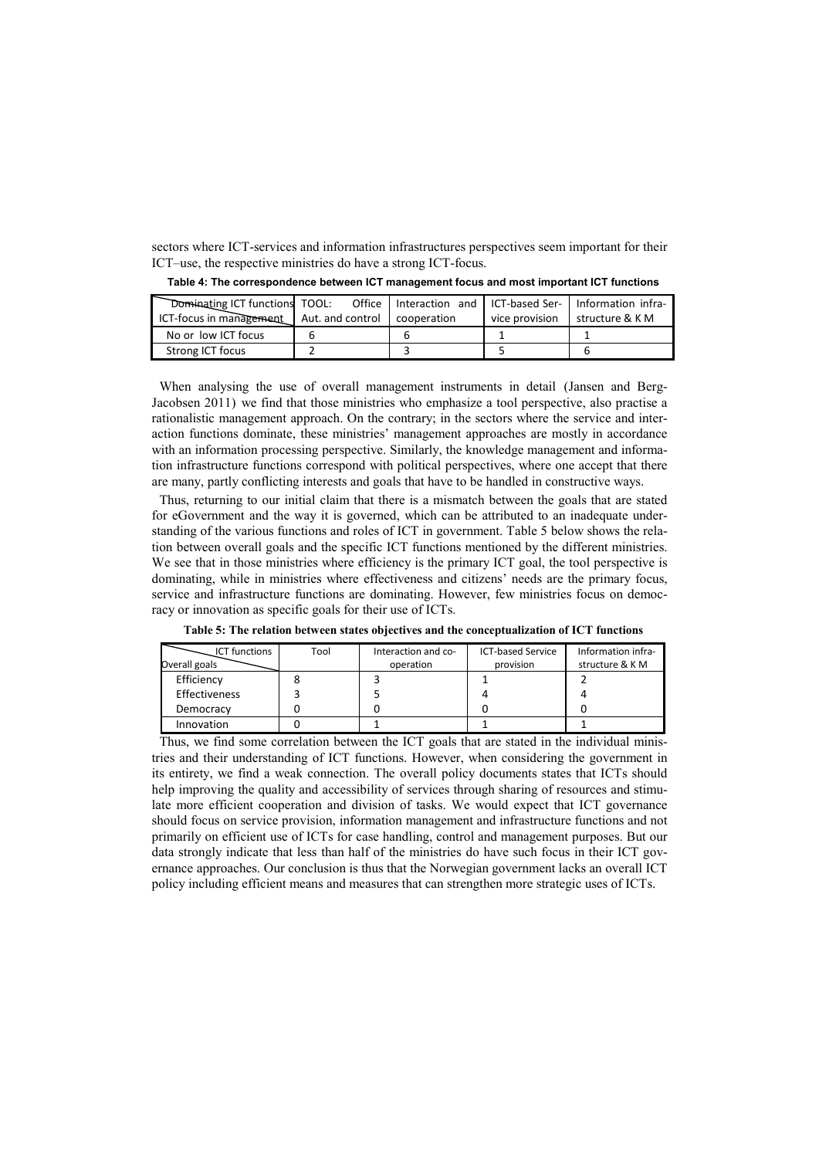sectors where ICT-services and information infrastructures perspectives seem important for their ICT–use, the respective ministries do have a strong ICT-focus.

| <b>Dominating ICT functions TOOL:</b> Office   Interaction and   ICT-based Ser-   Information infra-<br>$ICT$ -focus in management $\parallel$ Aut. and control $\parallel$ cooperation |   | vice provision | structure & K M |
|-----------------------------------------------------------------------------------------------------------------------------------------------------------------------------------------|---|----------------|-----------------|
| No or low ICT focus                                                                                                                                                                     | h |                |                 |
| Strong ICT focus                                                                                                                                                                        |   |                |                 |

|  |  | Table 4: The correspondence between ICT management focus and most important ICT functions |  |  |  |  |  |  |
|--|--|-------------------------------------------------------------------------------------------|--|--|--|--|--|--|
|  |  |                                                                                           |  |  |  |  |  |  |

When analysing the use of overall management instruments in detail (Jansen and Berg-Jacobsen 2011) we find that those ministries who emphasize a tool perspective, also practise a rationalistic management approach. On the contrary; in the sectors where the service and interaction functions dominate, these ministries' management approaches are mostly in accordance with an information processing perspective. Similarly, the knowledge management and information infrastructure functions correspond with political perspectives, where one accept that there are many, partly conflicting interests and goals that have to be handled in constructive ways.

Thus, returning to our initial claim that there is a mismatch between the goals that are stated for eGovernment and the way it is governed, which can be attributed to an inadequate understanding of the various functions and roles of ICT in government. Table 5 below shows the relation between overall goals and the specific ICT functions mentioned by the different ministries. We see that in those ministries where efficiency is the primary ICT goal, the tool perspective is dominating, while in ministries where effectiveness and citizens' needs are the primary focus, service and infrastructure functions are dominating. However, few ministries focus on democracy or innovation as specific goals for their use of ICTs.

| ICT functions | Tool | Interaction and co- | <b>ICT-based Service</b> | Information infra- |
|---------------|------|---------------------|--------------------------|--------------------|
| Overall goals |      | operation           | provision                | structure & K M    |
| Efficiency    |      |                     |                          |                    |
| Effectiveness |      |                     |                          |                    |
| Democracy     |      |                     |                          |                    |
| Innovation    |      |                     |                          |                    |

**Table 5: The relation between states objectives and the conceptualization of ICT functions** 

Thus, we find some correlation between the ICT goals that are stated in the individual ministries and their understanding of ICT functions. However, when considering the government in its entirety, we find a weak connection. The overall policy documents states that ICTs should help improving the quality and accessibility of services through sharing of resources and stimulate more efficient cooperation and division of tasks. We would expect that ICT governance should focus on service provision, information management and infrastructure functions and not primarily on efficient use of ICTs for case handling, control and management purposes. But our data strongly indicate that less than half of the ministries do have such focus in their ICT governance approaches. Our conclusion is thus that the Norwegian government lacks an overall ICT policy including efficient means and measures that can strengthen more strategic uses of ICTs.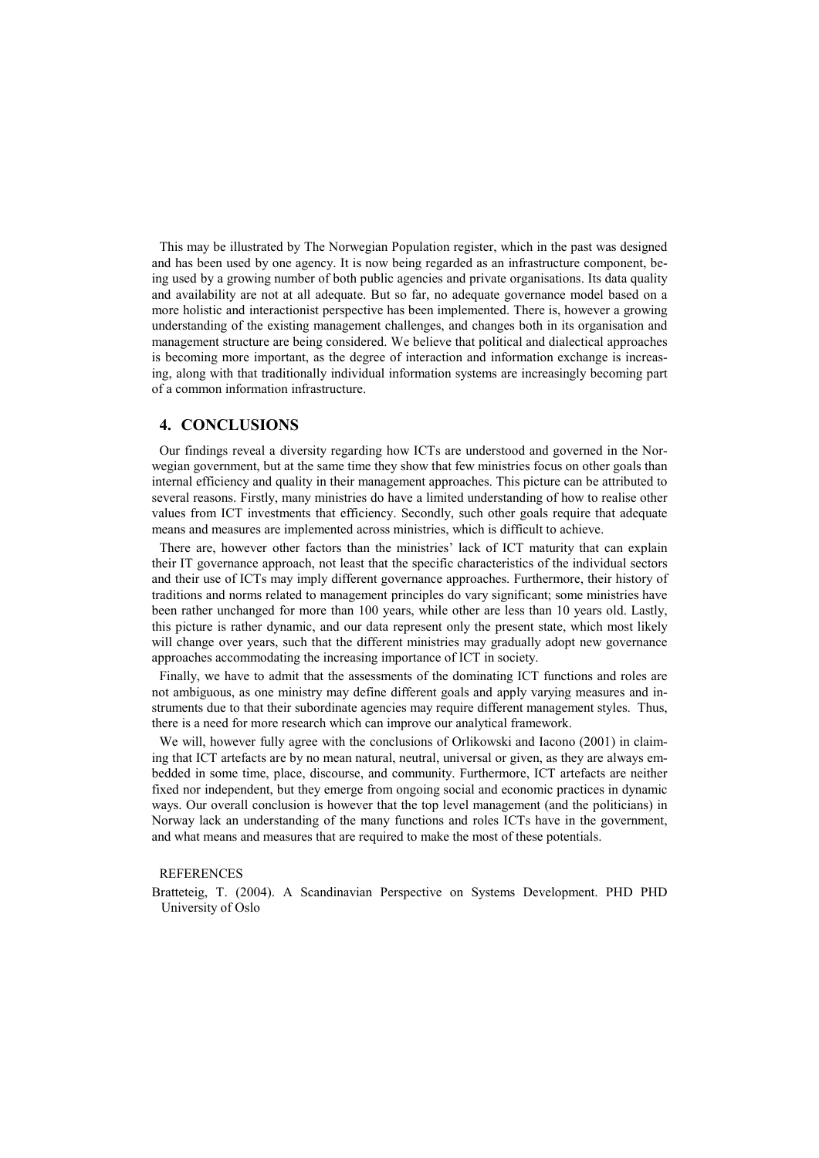This may be illustrated by The Norwegian Population register, which in the past was designed and has been used by one agency. It is now being regarded as an infrastructure component, being used by a growing number of both public agencies and private organisations. Its data quality and availability are not at all adequate. But so far, no adequate governance model based on a more holistic and interactionist perspective has been implemented. There is, however a growing understanding of the existing management challenges, and changes both in its organisation and management structure are being considered. We believe that political and dialectical approaches is becoming more important, as the degree of interaction and information exchange is increasing, along with that traditionally individual information systems are increasingly becoming part of a common information infrastructure.

# **4. CONCLUSIONS**

Our findings reveal a diversity regarding how ICTs are understood and governed in the Norwegian government, but at the same time they show that few ministries focus on other goals than internal efficiency and quality in their management approaches. This picture can be attributed to several reasons. Firstly, many ministries do have a limited understanding of how to realise other values from ICT investments that efficiency. Secondly, such other goals require that adequate means and measures are implemented across ministries, which is difficult to achieve.

There are, however other factors than the ministries' lack of ICT maturity that can explain their IT governance approach, not least that the specific characteristics of the individual sectors and their use of ICTs may imply different governance approaches. Furthermore, their history of traditions and norms related to management principles do vary significant; some ministries have been rather unchanged for more than 100 years, while other are less than 10 years old. Lastly, this picture is rather dynamic, and our data represent only the present state, which most likely will change over years, such that the different ministries may gradually adopt new governance approaches accommodating the increasing importance of ICT in society.

Finally, we have to admit that the assessments of the dominating ICT functions and roles are not ambiguous, as one ministry may define different goals and apply varying measures and instruments due to that their subordinate agencies may require different management styles. Thus, there is a need for more research which can improve our analytical framework.

We will, however fully agree with the conclusions of Orlikowski and Iacono (2001) in claiming that ICT artefacts are by no mean natural, neutral, universal or given, as they are always embedded in some time, place, discourse, and community. Furthermore, ICT artefacts are neither fixed nor independent, but they emerge from ongoing social and economic practices in dynamic ways. Our overall conclusion is however that the top level management (and the politicians) in Norway lack an understanding of the many functions and roles ICTs have in the government, and what means and measures that are required to make the most of these potentials.

#### **REFERENCES**

Bratteteig, T. (2004). A Scandinavian Perspective on Systems Development. PHD PHD University of Oslo